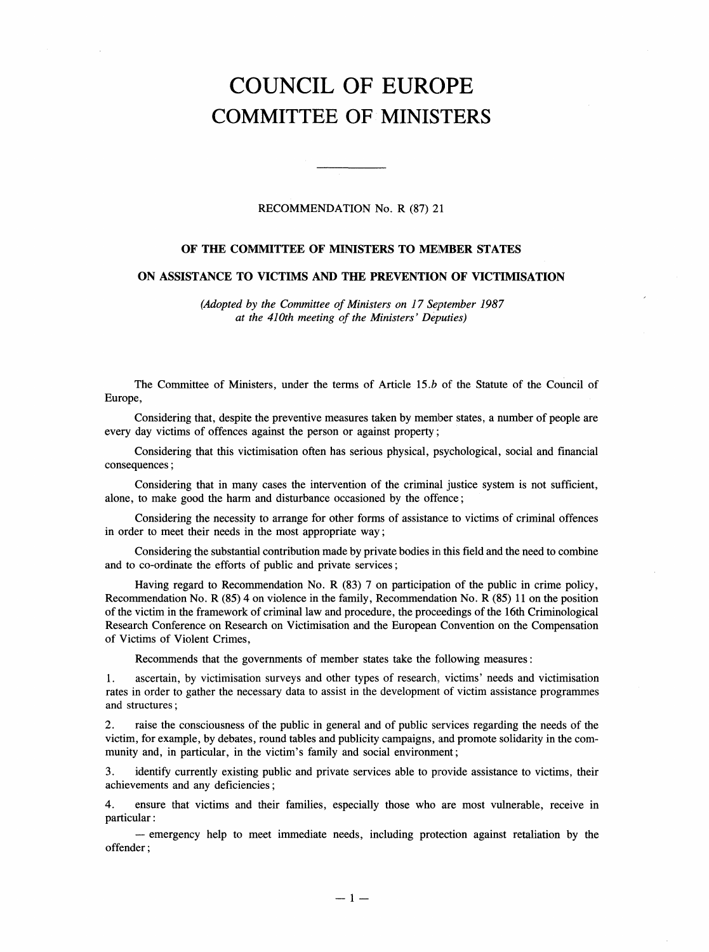## COUNCIL OF EUROPE COMMITTEE OF MINISTERS

## RECOMMENDATION No. R (87) 21

## OF THE COMMITTEE OF MINISTERS TO MEMBER STATES

## ON ASSISTANCE TO VICTIMS AND THE PREVENTION OF VICTIMISATION

(Adopted by the Committee of Ministers on 17 September 1987 at the 410th meeting of the Ministers' Deputies)

The Committee of Ministers, under the terms of Article 15.b of the Statute of the Council of Europe,

Considering that, despite the preventive measures taken by member states, a number of people are every day victims of offences against the person or against property;

Considering that this victimisation often has serious physical, psychological, social and financial consequences;

Considering that in many cases the intervention of the criminal justice system is not sufficient, alone, to make good the harm and disturbance occasioned by the offence;

Considering the necessity to arrange for other forms of assistance to victims of criminal offences in order to meet their needs in the most appropriate way;

Considering the substantial contribution made by private bodies in this field and the need to combine and to co-ordinate the efforts of public and private services;

Having regard to Recommendation No. R (83) 7 on participation of the public in crime policy, Recommendation No. R (85) 4 on violence in the family, Recommendation No. R (85) 11 on the position of the victim in the framework of criminal law and procedure, the proceedings of the 16th Criminological Research Conference on Research on Victimisation and the European Convention on the Compensation of Victims of Violent Crimes,

Recommends that the governments of member states take the following measures:

1. ascertain, by victimisation surveys and other types of research, victims' needs and victimisation rates in order to gather the necessary data to assist in the development of victim assistance programmes and structures;

2. raise the consciousness of the public in general and of public services regarding the needs of the victim, for example, by debates, round tables and publicity campaigns, and promote solidarity in the community and, in particular, in the victim's family and social environment;

3. identify currently existing public and private services able to provide assistance to victims, their achievements and any deficiencies;

4. ensure that victims and their families, especially those who are most vulnerable, receive in particular:

- emergency help to meet immediate needs, including protection against retaliation by the offender;